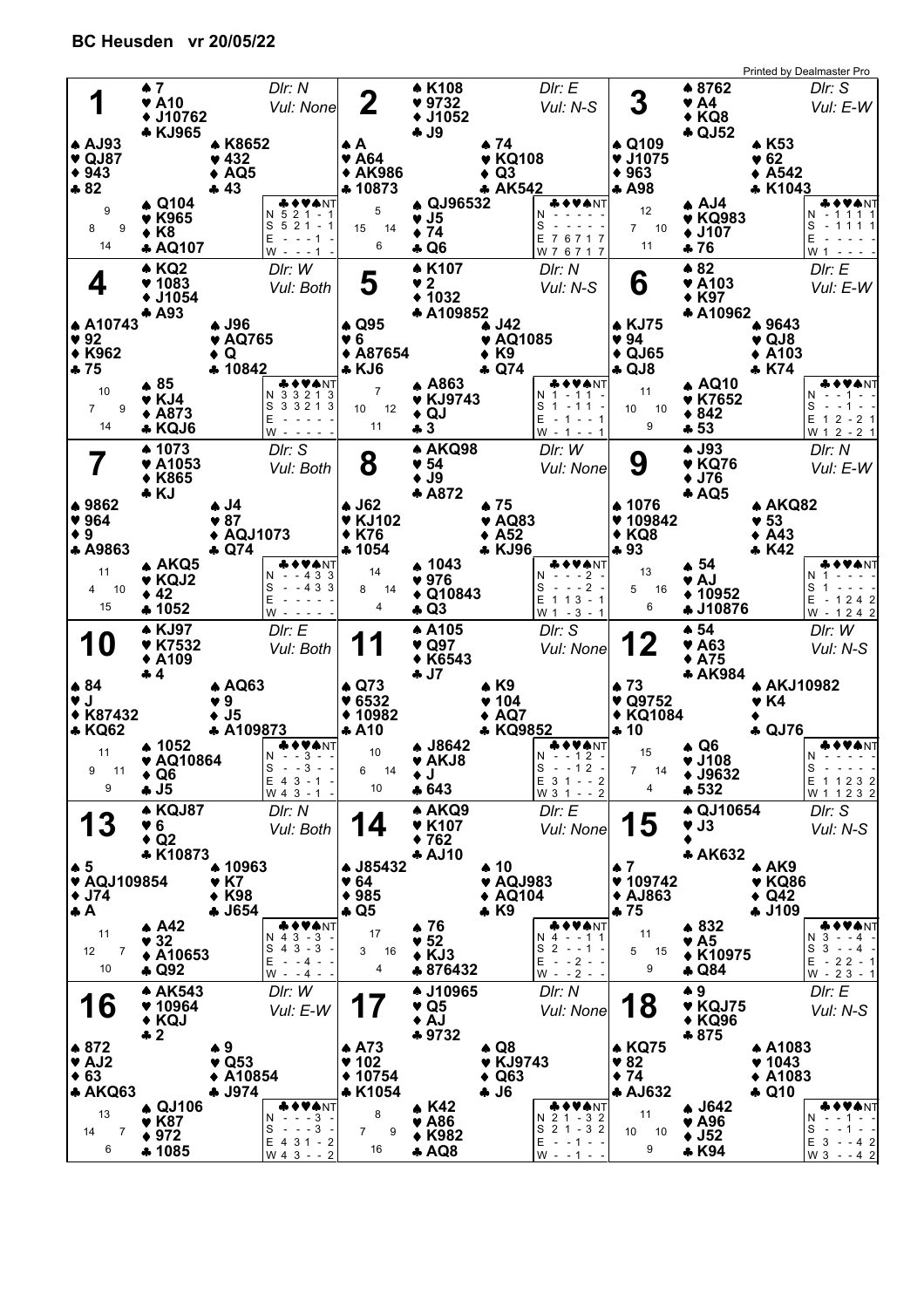